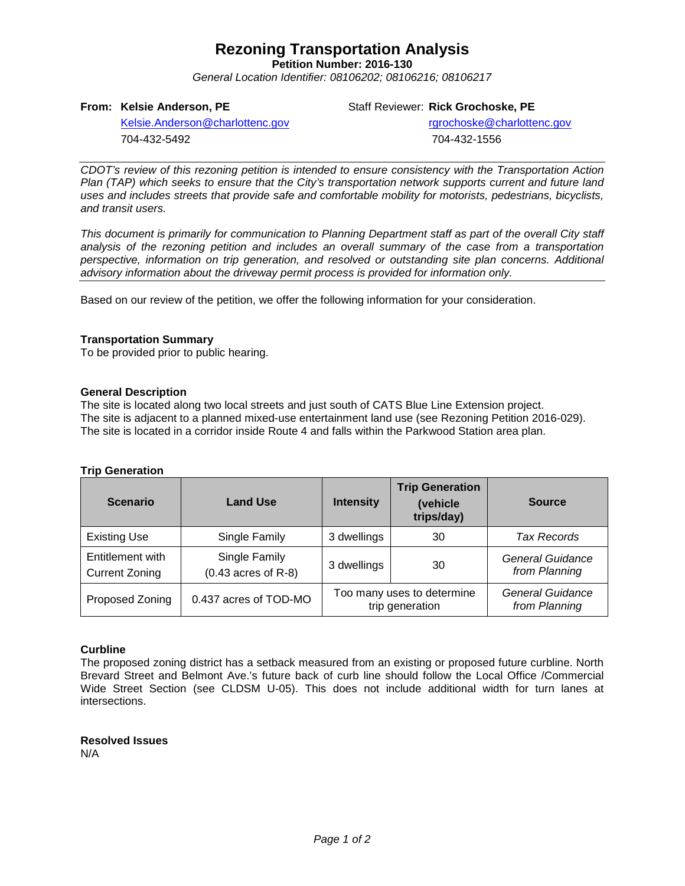## **Rezoning Transportation Analysis**

**Petition Number: 2016-130**

*General Location Identifier: 08106202; 08106216; 08106217*

### **From: Kelsie Anderson, PE**

Staff Reviewer: **Rick Grochoske, PE**

[Kelsie.Anderson@charlottenc.gov](mailto:Kelsie.Anderson@charlottenc.gov) 704-432-5492

rgrochoske@charlottenc.gov 704-432-1556

*CDOT's review of this rezoning petition is intended to ensure consistency with the Transportation Action Plan (TAP) which seeks to ensure that the City's transportation network supports current and future land uses and includes streets that provide safe and comfortable mobility for motorists, pedestrians, bicyclists, and transit users.*

*This document is primarily for communication to Planning Department staff as part of the overall City staff analysis of the rezoning petition and includes an overall summary of the case from a transportation perspective, information on trip generation, and resolved or outstanding site plan concerns. Additional advisory information about the driveway permit process is provided for information only.*

Based on our review of the petition, we offer the following information for your consideration.

### **Transportation Summary**

To be provided prior to public hearing.

### **General Description**

The site is located along two local streets and just south of CATS Blue Line Extension project. The site is adjacent to a planned mixed-use entertainment land use (see Rezoning Petition 2016-029). The site is located in a corridor inside Route 4 and falls within the Parkwood Station area plan.

### **Trip Generation**

| <b>Scenario</b>                           | <b>Land Use</b>                        | <b>Intensity</b> | <b>Trip Generation</b><br>(vehicle<br>trips/day) | <b>Source</b>                            |  |
|-------------------------------------------|----------------------------------------|------------------|--------------------------------------------------|------------------------------------------|--|
| <b>Existing Use</b>                       | Single Family                          | 3 dwellings      | 30                                               | Tax Records                              |  |
| Entitlement with<br><b>Current Zoning</b> | Single Family<br>$(0.43$ acres of R-8) | 3 dwellings      | 30                                               | <b>General Guidance</b><br>from Planning |  |
| Proposed Zoning                           | 0.437 acres of TOD-MO                  |                  | Too many uses to determine<br>trip generation    | <b>General Guidance</b><br>from Planning |  |

### **Curbline**

The proposed zoning district has a setback measured from an existing or proposed future curbline. North Brevard Street and Belmont Ave.'s future back of curb line should follow the Local Office /Commercial Wide Street Section (see CLDSM U-05). This does not include additional width for turn lanes at intersections.

**Resolved Issues** N/A